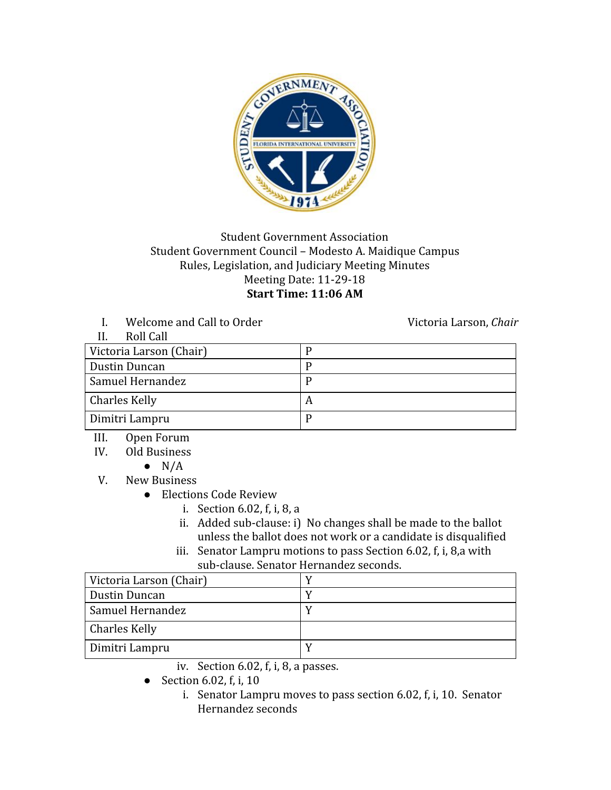

## Student Government Association Student Government Council – Modesto A. Maidique Campus Rules, Legislation, and Judiciary Meeting Minutes Meeting Date: 11-29-18 **Start Time: 11:06 AM**

I. Welcome and Call to Order Victoria Larson, *Chair* 

| Roll Call               |   |
|-------------------------|---|
| Victoria Larson (Chair) |   |
| Dustin Duncan           |   |
| Samuel Hernandez        |   |
| <b>Charles Kelly</b>    | A |
| Dimitri Lampru          | D |

- III. Open Forum
- IV. Old Business
	- $\bullet$  N/A
- V. New Business
	- Elections Code Review
		- i. Section 6.02, f, i, 8, a
		- ii. Added sub-clause: i) No changes shall be made to the ballot unless the ballot does not work or a candidate is disqualified
		- iii. Senator Lampru motions to pass Section 6.02, f, i, 8,a with sub-clause. Senator Hernandez seconds.

| Victoria Larson (Chair) |  |
|-------------------------|--|
| Dustin Duncan           |  |
| Samuel Hernandez        |  |
| <b>Charles Kelly</b>    |  |
| Dimitri Lampru          |  |

- iv. Section 6.02, f, i, 8, a passes.
- $\bullet$  Section 6.02, f, i, 10
	- i. Senator Lampru moves to pass section 6.02, f, i, 10. Senator Hernandez seconds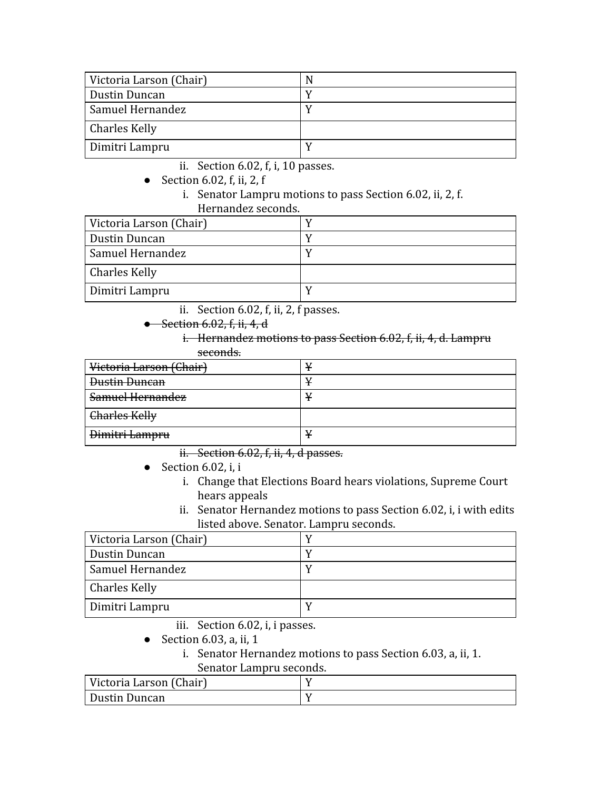| Victoria Larson (Chair) |  |
|-------------------------|--|
| Dustin Duncan           |  |
| Samuel Hernandez        |  |
| <b>Charles Kelly</b>    |  |
| Dimitri Lampru          |  |

ii. Section 6.02, f, i, 10 passes.

- Section 6.02, f, ii, 2, f
	- i. Senator Lampru motions to pass Section 6.02, ii, 2, f. Hernandez seconds.

| Victoria Larson (Chair) |  |
|-------------------------|--|
| Dustin Duncan           |  |
| Samuel Hernandez        |  |
| <b>Charles Kelly</b>    |  |
| Dimitri Lampru          |  |

ii. Section 6.02, f, ii, 2, f passes.

- **Section 6.02, f, ii, 4, d** 
	- i. Hernandez motions to pass Section 6.02, f, ii, 4, d. Lampru seconds.

| Victoria Larson (Chair) |  |
|-------------------------|--|
| <b>Dustin Duncan</b>    |  |
| Samuel Hernandez        |  |
| Charles Kelly           |  |
| Dimitri Lampru          |  |

ii. Section 6.02, f, ii, 4, d passes.

- $\bullet$  Section 6.02, i, i
	- i. Change that Elections Board hears violations, Supreme Court hears appeals
	- ii. Senator Hernandez motions to pass Section 6.02, i, i with edits listed above. Senator. Lampru seconds.

| Victoria Larson (Chair) |  |
|-------------------------|--|
| Dustin Duncan           |  |
| Samuel Hernandez        |  |
| Charles Kelly           |  |
| Dimitri Lampru          |  |

- iii. Section 6.02, i, i passes.
- $\bullet$  Section 6.03, a, ii, 1
	- i. Senator Hernandez motions to pass Section 6.03, a, ii, 1. Senator Lampru seconds.

| Victoria Larson (Chair) |  |
|-------------------------|--|
| Dustin Duncan           |  |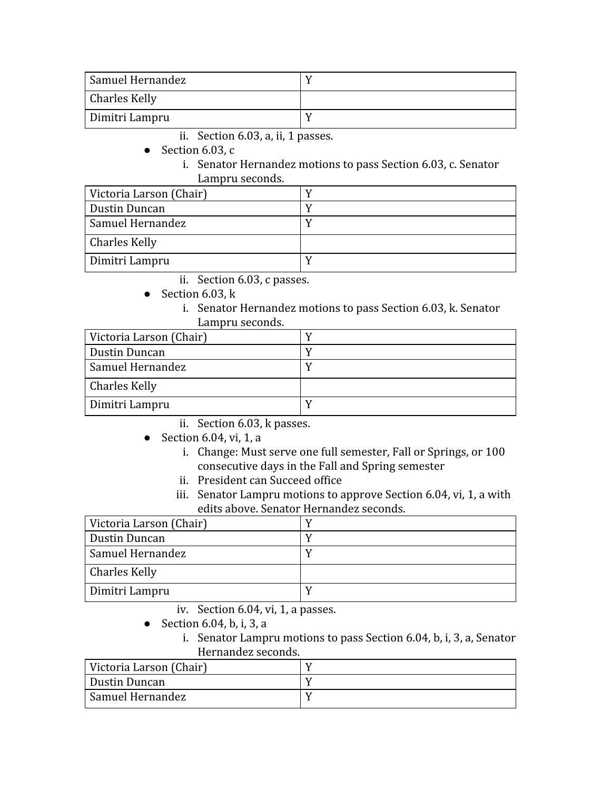| Samuel Hernandez     |  |
|----------------------|--|
| <b>Charles Kelly</b> |  |
| Dimitri Lampru       |  |

- ii. Section 6.03, a, ii, 1 passes.
- Section 6.03,  $c$ 
	- i. Senator Hernandez motions to pass Section 6.03, c. Senator Lampru seconds.

| Victoria Larson (Chair) |  |
|-------------------------|--|
| Dustin Duncan           |  |
| Samuel Hernandez        |  |
| Charles Kelly           |  |
| Dimitri Lampru          |  |

- ii. Section 6.03, c passes.
- $\bullet$  Section 6.03, k
	- i. Senator Hernandez motions to pass Section 6.03, k. Senator Lampru seconds.

| Victoria Larson (Chair) |  |
|-------------------------|--|
| Dustin Duncan           |  |
| Samuel Hernandez        |  |
| <b>Charles Kelly</b>    |  |
| Dimitri Lampru          |  |

ii. Section 6.03, k passes.

- Section 6.04, vi, 1, a
	- i. Change: Must serve one full semester, Fall or Springs, or 100 consecutive days in the Fall and Spring semester
	- ii. President can Succeed office
	- iii. Senator Lampru motions to approve Section 6.04, vi, 1, a with edits above. Senator Hernandez seconds.

| Victoria Larson (Chair) |  |
|-------------------------|--|
| Dustin Duncan           |  |
| Samuel Hernandez        |  |
| <b>Charles Kelly</b>    |  |
| Dimitri Lampru          |  |

- iv. Section 6.04, vi, 1, a passes.
- Section 6.04, b, i, 3, a
	- i. Senator Lampru motions to pass Section 6.04, b, i, 3, a, Senator Hernandez seconds.

| Victoria Larson (Chair) |  |
|-------------------------|--|
| Dustin Duncan           |  |
| Samuel Hernandez        |  |